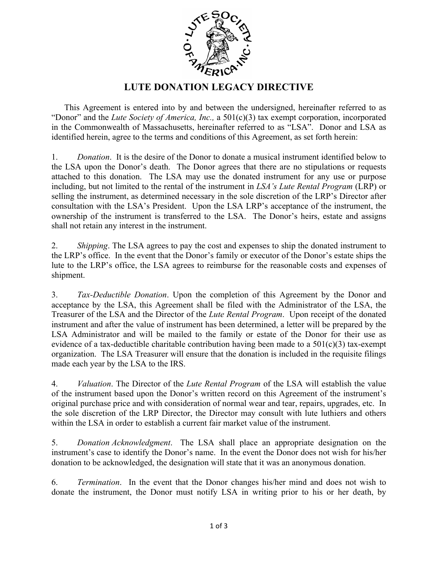

## **LUTE DONATION LEGACY DIRECTIVE**

This Agreement is entered into by and between the undersigned, hereinafter referred to as "Donor" and the *Lute Society of America, Inc.,* a 501(c)(3) tax exempt corporation, incorporated in the Commonwealth of Massachusetts, hereinafter referred to as "LSA". Donor and LSA as identified herein, agree to the terms and conditions of this Agreement, as set forth herein:

1. *Donation*. It is the desire of the Donor to donate a musical instrument identified below to the LSA upon the Donor's death. The Donor agrees that there are no stipulations or requests attached to this donation. The LSA may use the donated instrument for any use or purpose including, but not limited to the rental of the instrument in *LSA's Lute Rental Program* (LRP) or selling the instrument, as determined necessary in the sole discretion of the LRP's Director after consultation with the LSA's President. Upon the LSA LRP's acceptance of the instrument, the ownership of the instrument is transferred to the LSA. The Donor's heirs, estate and assigns shall not retain any interest in the instrument.

2. *Shipping*. The LSA agrees to pay the cost and expenses to ship the donated instrument to the LRP's office. In the event that the Donor's family or executor of the Donor's estate ships the lute to the LRP's office, the LSA agrees to reimburse for the reasonable costs and expenses of shipment.

3. *Tax-Deductible Donation*. Upon the completion of this Agreement by the Donor and acceptance by the LSA, this Agreement shall be filed with the Administrator of the LSA, the Treasurer of the LSA and the Director of the *Lute Rental Program*. Upon receipt of the donated instrument and after the value of instrument has been determined, a letter will be prepared by the LSA Administrator and will be mailed to the family or estate of the Donor for their use as evidence of a tax-deductible charitable contribution having been made to a  $501(c)(3)$  tax-exempt organization. The LSA Treasurer will ensure that the donation is included in the requisite filings made each year by the LSA to the IRS.

4. *Valuation*. The Director of the *Lute Rental Program* of the LSA will establish the value of the instrument based upon the Donor's written record on this Agreement of the instrument's original purchase price and with consideration of normal wear and tear, repairs, upgrades, etc. In the sole discretion of the LRP Director, the Director may consult with lute luthiers and others within the LSA in order to establish a current fair market value of the instrument.

5. *Donation Acknowledgment*. The LSA shall place an appropriate designation on the instrument's case to identify the Donor's name. In the event the Donor does not wish for his/her donation to be acknowledged, the designation will state that it was an anonymous donation.

6. *Termination*. In the event that the Donor changes his/her mind and does not wish to donate the instrument, the Donor must notify LSA in writing prior to his or her death, by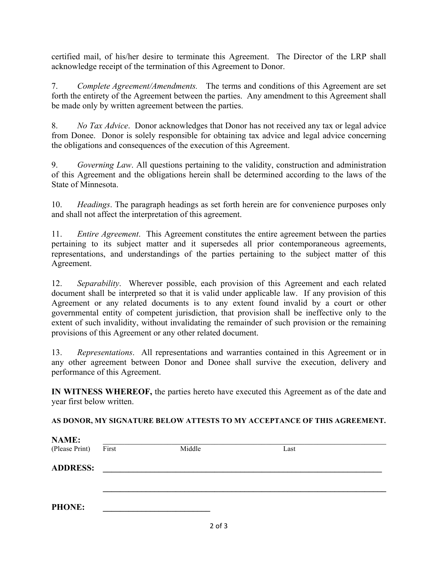certified mail, of his/her desire to terminate this Agreement. The Director of the LRP shall acknowledge receipt of the termination of this Agreement to Donor.

7. *Complete Agreement/Amendments.* The terms and conditions of this Agreement are set forth the entirety of the Agreement between the parties. Any amendment to this Agreement shall be made only by written agreement between the parties.

8. *No Tax Advice*. Donor acknowledges that Donor has not received any tax or legal advice from Donee. Donor is solely responsible for obtaining tax advice and legal advice concerning the obligations and consequences of the execution of this Agreement.

9. *Governing Law*. All questions pertaining to the validity, construction and administration of this Agreement and the obligations herein shall be determined according to the laws of the State of Minnesota.

10. *Headings*. The paragraph headings as set forth herein are for convenience purposes only and shall not affect the interpretation of this agreement.

11. *Entire Agreement*. This Agreement constitutes the entire agreement between the parties pertaining to its subject matter and it supersedes all prior contemporaneous agreements, representations, and understandings of the parties pertaining to the subject matter of this Agreement.

12. *Separability*. Wherever possible, each provision of this Agreement and each related document shall be interpreted so that it is valid under applicable law. If any provision of this Agreement or any related documents is to any extent found invalid by a court or other governmental entity of competent jurisdiction, that provision shall be ineffective only to the extent of such invalidity, without invalidating the remainder of such provision or the remaining provisions of this Agreement or any other related document.

13. *Representations*. All representations and warranties contained in this Agreement or in any other agreement between Donor and Donee shall survive the execution, delivery and performance of this Agreement.

**IN WITNESS WHEREOF,** the parties hereto have executed this Agreement as of the date and year first below written.

## **AS DONOR, MY SIGNATURE BELOW ATTESTS TO MY ACCEPTANCE OF THIS AGREEMENT.**

| <b>NAME:</b>    |       |        |      |  |
|-----------------|-------|--------|------|--|
| (Please Print)  | First | Middle | Last |  |
| <b>ADDRESS:</b> |       |        |      |  |
|                 |       |        |      |  |
| <b>PHONE:</b>   |       |        |      |  |